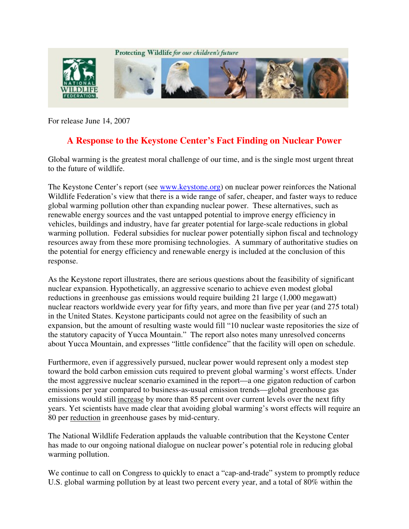

For release June 14, 2007

## **A Response to the Keystone Center's Fact Finding on Nuclear Power**

Global warming is the greatest moral challenge of our time, and is the single most urgent threat to the future of wildlife.

The Keystone Center's report (see www.keystone.org) on nuclear power reinforces the National Wildlife Federation's view that there is a wide range of safer, cheaper, and faster ways to reduce global warming pollution other than expanding nuclear power. These alternatives, such as renewable energy sources and the vast untapped potential to improve energy efficiency in vehicles, buildings and industry, have far greater potential for large-scale reductions in global warming pollution. Federal subsidies for nuclear power potentially siphon fiscal and technology resources away from these more promising technologies. A summary of authoritative studies on the potential for energy efficiency and renewable energy is included at the conclusion of this response.

As the Keystone report illustrates, there are serious questions about the feasibility of significant nuclear expansion. Hypothetically, an aggressive scenario to achieve even modest global reductions in greenhouse gas emissions would require building 21 large (1,000 megawatt) nuclear reactors worldwide every year for fifty years, and more than five per year (and 275 total) in the United States. Keystone participants could not agree on the feasibility of such an expansion, but the amount of resulting waste would fill "10 nuclear waste repositories the size of the statutory capacity of Yucca Mountain." The report also notes many unresolved concerns about Yucca Mountain, and expresses "little confidence" that the facility will open on schedule.

Furthermore, even if aggressively pursued, nuclear power would represent only a modest step toward the bold carbon emission cuts required to prevent global warming's worst effects. Under the most aggressive nuclear scenario examined in the report—a one gigaton reduction of carbon emissions per year compared to business-as-usual emission trends—global greenhouse gas emissions would still increase by more than 85 percent over current levels over the next fifty years. Yet scientists have made clear that avoiding global warming's worst effects will require an 80 per reduction in greenhouse gases by mid-century.

The National Wildlife Federation applauds the valuable contribution that the Keystone Center has made to our ongoing national dialogue on nuclear power's potential role in reducing global warming pollution.

We continue to call on Congress to quickly to enact a "cap-and-trade" system to promptly reduce U.S. global warming pollution by at least two percent every year, and a total of 80% within the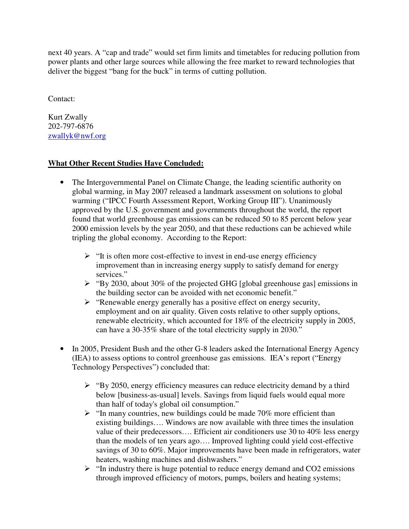next 40 years. A "cap and trade" would set firm limits and timetables for reducing pollution from power plants and other large sources while allowing the free market to reward technologies that deliver the biggest "bang for the buck" in terms of cutting pollution.

Contact:

Kurt Zwally 202-797-6876 zwallyk@nwf.org

## **What Other Recent Studies Have Concluded:**

- The Intergovernmental Panel on Climate Change, the leading scientific authority on global warming, in May 2007 released a landmark assessment on solutions to global warming ("IPCC Fourth Assessment Report, Working Group III"). Unanimously approved by the U.S. government and governments throughout the world, the report found that world greenhouse gas emissions can be reduced 50 to 85 percent below year 2000 emission levels by the year 2050, and that these reductions can be achieved while tripling the global economy. According to the Report:
	- $\triangleright$  "It is often more cost-effective to invest in end-use energy efficiency improvement than in increasing energy supply to satisfy demand for energy services."
	- $\triangleright$  "By 2030, about 30% of the projected GHG [global greenhouse gas] emissions in the building sector can be avoided with net economic benefit."
	- $\triangleright$  "Renewable energy generally has a positive effect on energy security, employment and on air quality. Given costs relative to other supply options, renewable electricity, which accounted for 18% of the electricity supply in 2005, can have a 30-35% share of the total electricity supply in 2030."
- In 2005, President Bush and the other G-8 leaders asked the International Energy Agency (IEA) to assess options to control greenhouse gas emissions. IEA's report ("Energy Technology Perspectives") concluded that:
	- $\triangleright$  "By 2050, energy efficiency measures can reduce electricity demand by a third below [business-as-usual] levels. Savings from liquid fuels would equal more than half of today's global oil consumption."
	- $\triangleright$  "In many countries, new buildings could be made 70% more efficient than existing buildings…. Windows are now available with three times the insulation value of their predecessors…. Efficient air conditioners use 30 to 40% less energy than the models of ten years ago…. Improved lighting could yield cost-effective savings of 30 to 60%. Major improvements have been made in refrigerators, water heaters, washing machines and dishwashers."
	- $\triangleright$  "In industry there is huge potential to reduce energy demand and CO2 emissions through improved efficiency of motors, pumps, boilers and heating systems;